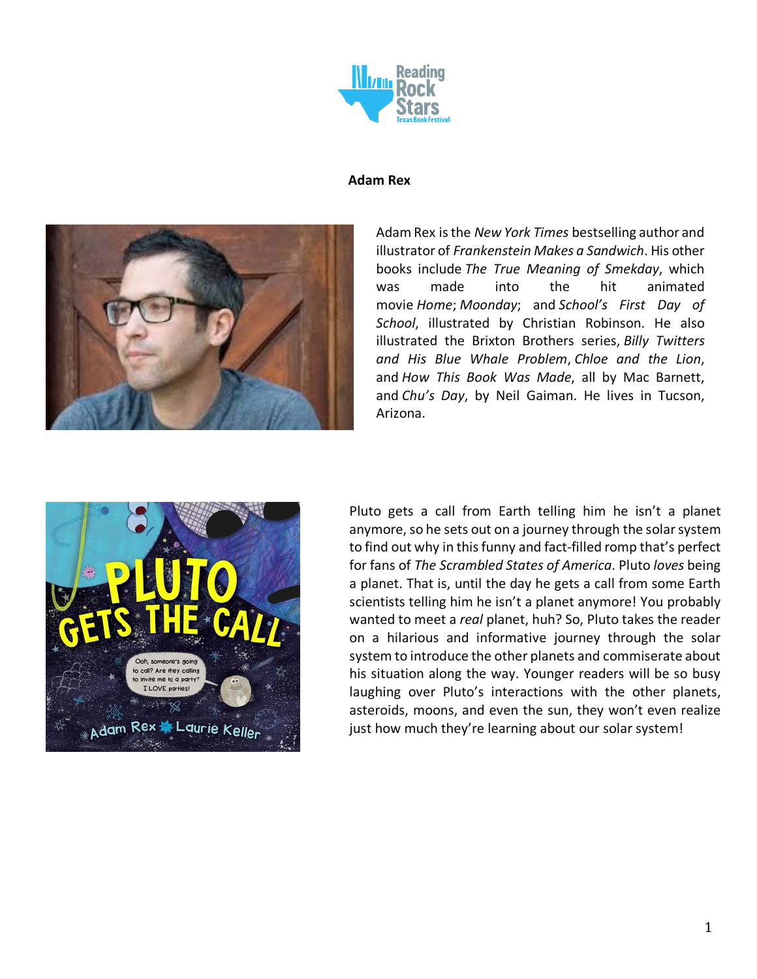

#### **Adam Rex**



Adam Rex is the *New York Times* bestselling author and illustrator of *Frankenstein Makes a Sandwich*. His other books include *The True Meaning of Smekday*, which was made into the hit animated movie *Home*; *Moonday*; and *School's First Day of School*, illustrated by Christian Robinson. He also illustrated the Brixton Brothers series, *Billy Twitters and His Blue Whale Problem*, *Chloe and the Lion*, and *How This Book Was Made*, all by Mac Barnett, and *Chu's Day*, by Neil Gaiman. He lives in Tucson, Arizona.



Pluto gets a call from Earth telling him he isn't a planet anymore, so he sets out on a journey through the solar system to find out why in this funny and fact-filled romp that's perfect for fans of *The Scrambled States of America*. Pluto *loves* being a planet. That is, until the day he gets a call from some Earth scientists telling him he isn't a planet anymore! You probably wanted to meet a *real* planet, huh? So, Pluto takes the reader on a hilarious and informative journey through the solar system to introduce the other planets and commiserate about his situation along the way. Younger readers will be so busy laughing over Pluto's interactions with the other planets, asteroids, moons, and even the sun, they won't even realize just how much they're learning about our solar system!